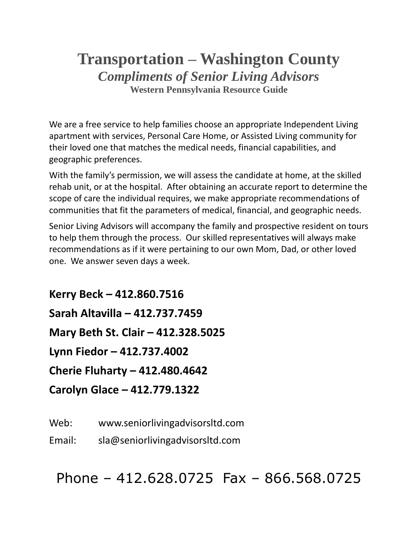# **Transportation – Washington County** *Compliments of Senior Living Advisors* **Western Pennsylvania Resource Guide**

We are a free service to help families choose an appropriate Independent Living apartment with services, Personal Care Home, or Assisted Living community for their loved one that matches the medical needs, financial capabilities, and geographic preferences.

With the family's permission, we will assess the candidate at home, at the skilled rehab unit, or at the hospital. After obtaining an accurate report to determine the scope of care the individual requires, we make appropriate recommendations of communities that fit the parameters of medical, financial, and geographic needs.

Senior Living Advisors will accompany the family and prospective resident on tours to help them through the process. Our skilled representatives will always make recommendations as if it were pertaining to our own Mom, Dad, or other loved one. We answer seven days a week.

**Kerry Beck – 412.860.7516 Sarah Altavilla – 412.737.7459 Mary Beth St. Clair – 412.328.5025 Lynn Fiedor – 412.737.4002 Cherie Fluharty – 412.480.4642 Carolyn Glace – 412.779.1322**

Web: www.seniorlivingadvisorsltd.com

Email: sla@seniorlivingadvisorsltd.com

Phone – 412.628.0725 Fax – 866.568.0725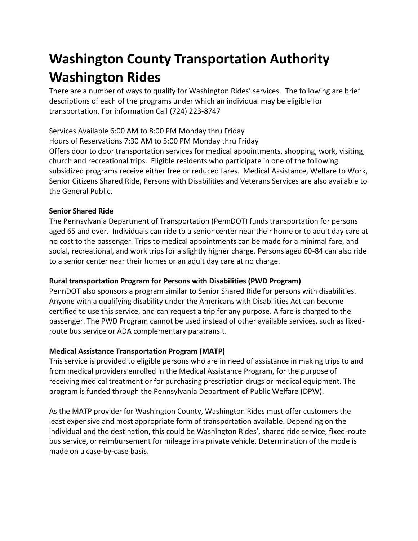# **Washington County Transportation Authority Washington Rides**

There are a number of ways to qualify for Washington Rides' services. The following are brief descriptions of each of the programs under which an individual may be eligible for transportation. For information Call (724) 223-8747

Services Available 6:00 AM to 8:00 PM Monday thru Friday Hours of Reservations 7:30 AM to 5:00 PM Monday thru Friday Offers door to door transportation services for medical appointments, shopping, work, visiting, church and recreational trips. Eligible residents who participate in one of the following subsidized programs receive either free or reduced fares. Medical Assistance, Welfare to Work, Senior Citizens Shared Ride, Persons with Disabilities and Veterans Services are also available to the General Public.

# **Senior Shared Ride**

The Pennsylvania Department of Transportation (PennDOT) funds transportation for persons aged 65 and over. Individuals can ride to a senior center near their home or to adult day care at no cost to the passenger. Trips to medical appointments can be made for a minimal fare, and social, recreational, and work trips for a slightly higher charge. Persons aged 60-84 can also ride to a senior center near their homes or an adult day care at no charge.

# **Rural transportation Program for Persons with Disabilities (PWD Program)**

PennDOT also sponsors a program similar to Senior Shared Ride for persons with disabilities. Anyone with a qualifying disability under the Americans with Disabilities Act can become certified to use this service, and can request a trip for any purpose. A fare is charged to the passenger. The PWD Program cannot be used instead of other available services, such as fixedroute bus service or ADA complementary paratransit.

# **Medical Assistance Transportation Program (MATP)**

This service is provided to eligible persons who are in need of assistance in making trips to and from medical providers enrolled in the Medical Assistance Program, for the purpose of receiving medical treatment or for purchasing prescription drugs or medical equipment. The program is funded through the Pennsylvania Department of Public Welfare (DPW).

As the MATP provider for Washington County, Washington Rides must offer customers the least expensive and most appropriate form of transportation available. Depending on the individual and the destination, this could be Washington Rides', shared ride service, fixed-route bus service, or reimbursement for mileage in a private vehicle. Determination of the mode is made on a case-by-case basis.